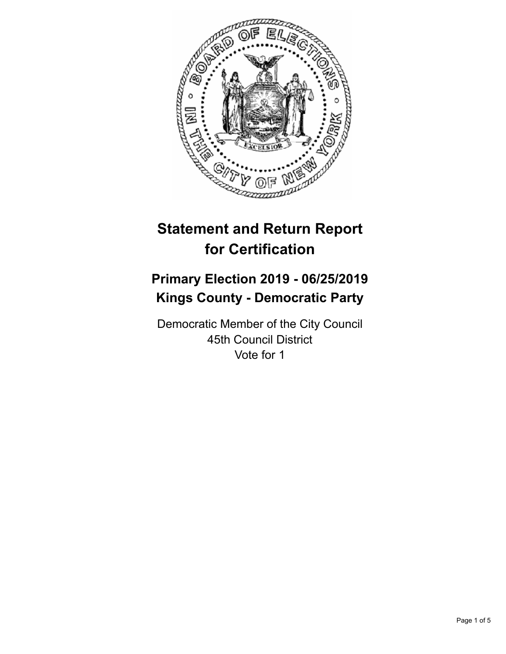

# **Statement and Return Report for Certification**

## **Primary Election 2019 - 06/25/2019 Kings County - Democratic Party**

Democratic Member of the City Council 45th Council District Vote for 1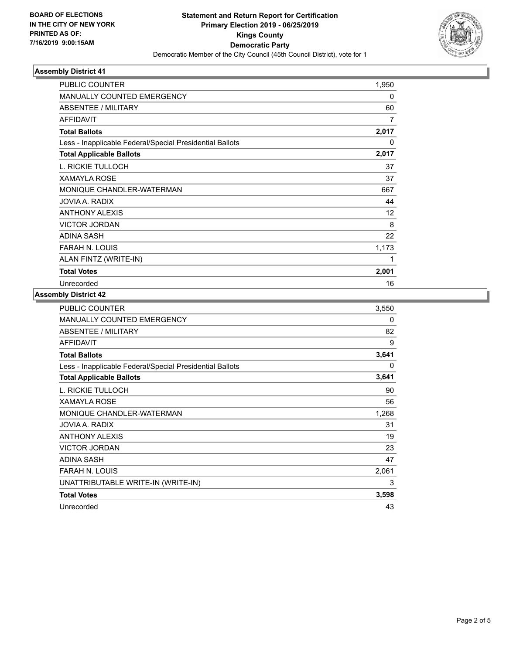

### **Assembly District 41**

| <b>PUBLIC COUNTER</b>                                    | 1,950        |
|----------------------------------------------------------|--------------|
| <b>MANUALLY COUNTED EMERGENCY</b>                        | $\mathbf{0}$ |
| ABSENTEE / MILITARY                                      | 60           |
| <b>AFFIDAVIT</b>                                         | 7            |
| <b>Total Ballots</b>                                     | 2,017        |
| Less - Inapplicable Federal/Special Presidential Ballots | 0            |
| <b>Total Applicable Ballots</b>                          | 2,017        |
| L. RICKIE TULLOCH                                        | 37           |
| <b>XAMAYLA ROSE</b>                                      | 37           |
| MONIQUE CHANDLER-WATERMAN                                | 667          |
| JOVIA A. RADIX                                           | 44           |
| <b>ANTHONY ALEXIS</b>                                    | 12           |
| <b>VICTOR JORDAN</b>                                     | 8            |
| ADINA SASH                                               | 22           |
| <b>FARAH N. LOUIS</b>                                    | 1,173        |
| ALAN FINTZ (WRITE-IN)                                    | 1            |
| <b>Total Votes</b>                                       | 2,001        |
| Unrecorded                                               | 16           |

#### **Assembly District 42**

| PUBLIC COUNTER                                           | 3,550 |
|----------------------------------------------------------|-------|
| MANUALLY COUNTED EMERGENCY                               | 0     |
| ABSENTEE / MILITARY                                      | 82    |
| <b>AFFIDAVIT</b>                                         | 9     |
| <b>Total Ballots</b>                                     | 3,641 |
| Less - Inapplicable Federal/Special Presidential Ballots | 0     |
| <b>Total Applicable Ballots</b>                          | 3,641 |
| L. RICKIE TULLOCH                                        | 90    |
| <b>XAMAYLA ROSE</b>                                      | 56    |
| MONIQUE CHANDLER-WATERMAN                                | 1,268 |
| JOVIA A. RADIX                                           | 31    |
| <b>ANTHONY ALEXIS</b>                                    | 19    |
| <b>VICTOR JORDAN</b>                                     | 23    |
| ADINA SASH                                               | 47    |
| <b>FARAH N. LOUIS</b>                                    | 2,061 |
| UNATTRIBUTABLE WRITE-IN (WRITE-IN)                       | 3     |
| <b>Total Votes</b>                                       | 3,598 |
| Unrecorded                                               | 43    |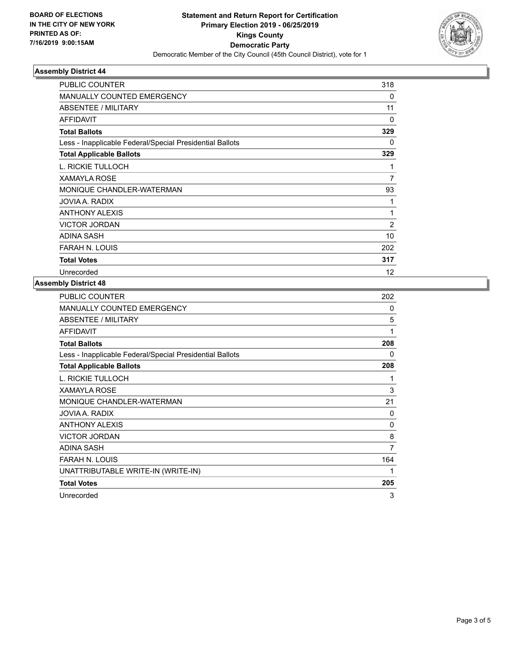

### **Assembly District 44**

| PUBLIC COUNTER                                           | 318            |
|----------------------------------------------------------|----------------|
| <b>MANUALLY COUNTED EMERGENCY</b>                        | 0              |
| ABSENTEE / MILITARY                                      | 11             |
| <b>AFFIDAVIT</b>                                         | $\Omega$       |
| <b>Total Ballots</b>                                     | 329            |
| Less - Inapplicable Federal/Special Presidential Ballots | 0              |
| <b>Total Applicable Ballots</b>                          | 329            |
| L. RICKIE TULLOCH                                        | 1              |
| <b>XAMAYLA ROSE</b>                                      | $\overline{7}$ |
| MONIQUE CHANDLER-WATERMAN                                | 93             |
| JOVIA A. RADIX                                           | 1              |
| <b>ANTHONY ALEXIS</b>                                    | 1              |
| <b>VICTOR JORDAN</b>                                     | $\overline{2}$ |
| <b>ADINA SASH</b>                                        | 10             |
| <b>FARAH N. LOUIS</b>                                    | 202            |
| <b>Total Votes</b>                                       | 317            |
| Unrecorded                                               | 12             |

#### **Assembly District 48**

| <b>PUBLIC COUNTER</b>                                    | 202 |
|----------------------------------------------------------|-----|
| <b>MANUALLY COUNTED EMERGENCY</b>                        | 0   |
| ABSENTEE / MILITARY                                      | 5   |
| <b>AFFIDAVIT</b>                                         | 1   |
| <b>Total Ballots</b>                                     | 208 |
| Less - Inapplicable Federal/Special Presidential Ballots | 0   |
| <b>Total Applicable Ballots</b>                          | 208 |
| L. RICKIE TULLOCH                                        | 1   |
| <b>XAMAYLA ROSE</b>                                      | 3   |
| MONIQUE CHANDLER-WATERMAN                                | 21  |
| JOVIA A. RADIX                                           | 0   |
| <b>ANTHONY ALEXIS</b>                                    | 0   |
| <b>VICTOR JORDAN</b>                                     | 8   |
| <b>ADINA SASH</b>                                        | 7   |
| <b>FARAH N. LOUIS</b>                                    | 164 |
| UNATTRIBUTABLE WRITE-IN (WRITE-IN)                       | 1   |
| <b>Total Votes</b>                                       | 205 |
| Unrecorded                                               | 3   |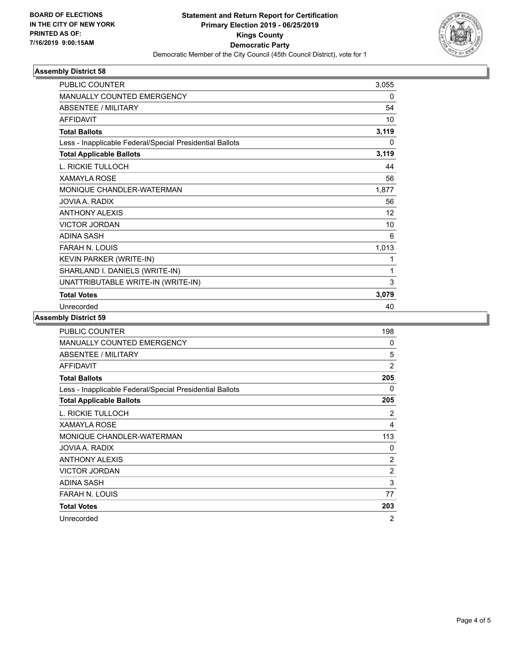

### **Assembly District 58**

| <b>PUBLIC COUNTER</b>                                    | 3,055 |
|----------------------------------------------------------|-------|
| <b>MANUALLY COUNTED EMERGENCY</b>                        | 0     |
| <b>ABSENTEE / MILITARY</b>                               | 54    |
| <b>AFFIDAVIT</b>                                         | 10    |
| <b>Total Ballots</b>                                     | 3,119 |
| Less - Inapplicable Federal/Special Presidential Ballots | 0     |
| <b>Total Applicable Ballots</b>                          | 3,119 |
| L. RICKIE TULLOCH                                        | 44    |
| <b>XAMAYLA ROSE</b>                                      | 56    |
| MONIQUE CHANDLER-WATERMAN                                | 1,877 |
| JOVIA A. RADIX                                           | 56    |
| <b>ANTHONY ALEXIS</b>                                    | 12    |
| <b>VICTOR JORDAN</b>                                     | 10    |
| <b>ADINA SASH</b>                                        | 6     |
| <b>FARAH N. LOUIS</b>                                    | 1,013 |
| KEVIN PARKER (WRITE-IN)                                  | 1     |
| SHARLAND I. DANIELS (WRITE-IN)                           | 1     |
| UNATTRIBUTABLE WRITE-IN (WRITE-IN)                       | 3     |
| <b>Total Votes</b>                                       | 3,079 |
| Unrecorded                                               | 40    |

### **Assembly District 59**

| PUBLIC COUNTER                                           | 198            |
|----------------------------------------------------------|----------------|
| MANUALLY COUNTED EMERGENCY                               | 0              |
| ABSENTEE / MILITARY                                      | 5              |
| <b>AFFIDAVIT</b>                                         | $\overline{2}$ |
| <b>Total Ballots</b>                                     | 205            |
| Less - Inapplicable Federal/Special Presidential Ballots | 0              |
| <b>Total Applicable Ballots</b>                          | 205            |
| L. RICKIE TULLOCH                                        | 2              |
| <b>XAMAYLA ROSE</b>                                      | 4              |
| MONIQUE CHANDLER-WATERMAN                                | 113            |
| JOVIA A. RADIX                                           | 0              |
| <b>ANTHONY ALEXIS</b>                                    | $\overline{c}$ |
| <b>VICTOR JORDAN</b>                                     | $\overline{2}$ |
| ADINA SASH                                               | 3              |
| <b>FARAH N. LOUIS</b>                                    | 77             |
| <b>Total Votes</b>                                       | 203            |
| Unrecorded                                               | 2              |